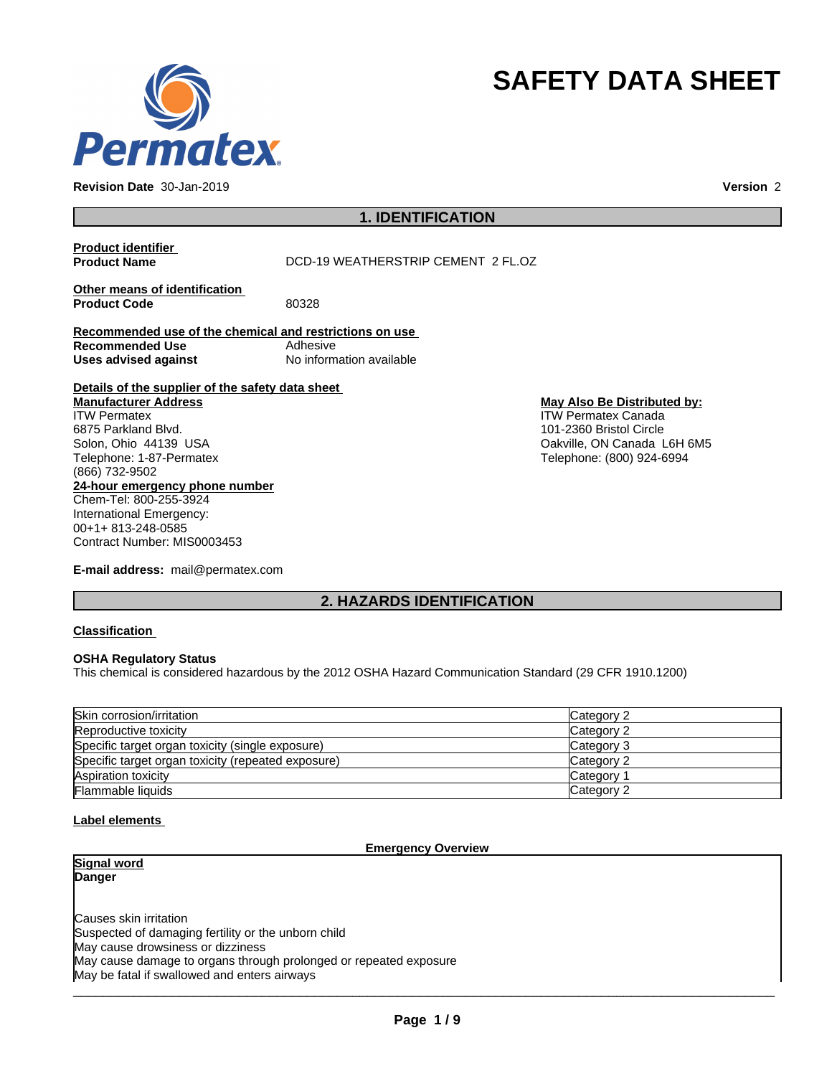

**Revision Date** 30-Jan-2019 **Version** 2

# **SAFETY DATA SHEET**

# **1. IDENTIFICATION**

**Product identifier Product Name** DCD-19 WEATHERSTRIP CEMENT 2 FL.OZ **Other means of identification** Product Code 80328 **Recommended use of the chemical and restrictions on use Recommended Use** Adhesive<br> **Uses advised against** Mo information available **Uses** advised against **Details of the supplier of the safety data sheet 24-hour emergency phone number** Chem-Tel: 800-255-3924 International Emergency: 00+1+ 813-248-0585 **Manufacturer Address** ITW Permatex 6875 Parkland Blvd. Solon, Ohio 44139 USA Telephone: 1-87-Permatex (866) 732-9502 **May Also Be Distributed by:** ITW Permatex Canada 101-2360 Bristol Circle Oakville, ON Canada L6H 6M5 Telephone: (800) 924-6994

**E-mail address:** mail@permatex.com

Contract Number: MIS0003453

# **2. HAZARDS IDENTIFICATION**

#### **Classification**

#### **OSHA Regulatory Status**

This chemical is considered hazardous by the 2012 OSHA Hazard Communication Standard (29 CFR 1910.1200)

| Skin corrosion/irritation                          | Category 2 |
|----------------------------------------------------|------------|
| Reproductive toxicity                              | Category 2 |
| Specific target organ toxicity (single exposure)   | Category 3 |
| Specific target organ toxicity (repeated exposure) | Category 2 |
| Aspiration toxicity                                | Category 1 |
| <b>Flammable liquids</b>                           | Category 2 |

#### **Label elements**

#### **Emergency Overview**

**Signal word Danger**

Causes skin irritation Suspected of damaging fertility or the unborn child May cause drowsiness or dizziness May cause damage to organs through prolonged or repeated exposure May be fatal if swallowed and enters airways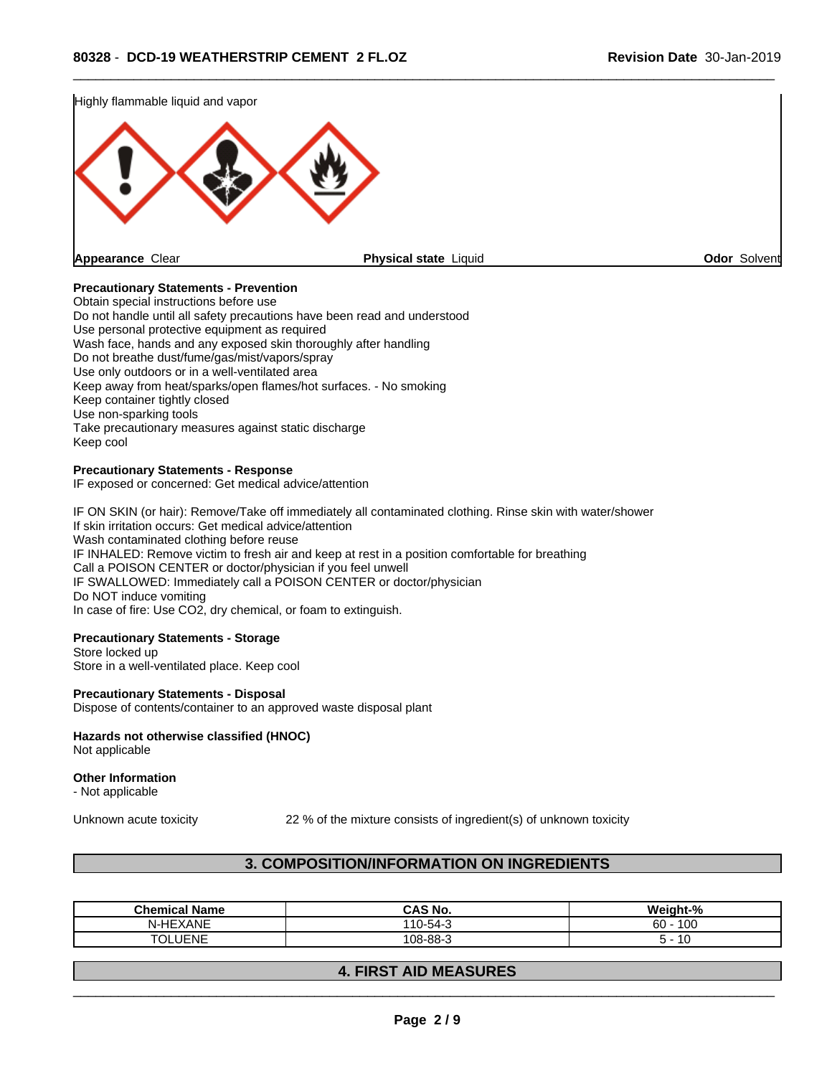



#### **Precautionary Statements - Prevention**

Obtain special instructions before use Do not handle until all safety precautions have been read and understood Use personal protective equipment as required Wash face, hands and any exposed skin thoroughly after handling Do not breathe dust/fume/gas/mist/vapors/spray Use only outdoors or in a well-ventilated area Keep away from heat/sparks/open flames/hot surfaces. - No smoking Keep container tightly closed Use non-sparking tools Take precautionary measures against static discharge Keep cool

#### **Precautionary Statements - Response**

IF exposed or concerned: Get medical advice/attention

IF ON SKIN (or hair): Remove/Take off immediately all contaminated clothing. Rinse skin with water/shower If skin irritation occurs: Get medical advice/attention Wash contaminated clothing before reuse IF INHALED: Remove victim to fresh air and keep at rest in a position comfortable for breathing Call a POISON CENTER or doctor/physician if you feel unwell IF SWALLOWED: Immediately call a POISON CENTER or doctor/physician Do NOT induce vomiting In case of fire: Use CO2, dry chemical, or foam to extinguish.

#### **Precautionary Statements - Storage**

Store locked up Store in a well-ventilated place. Keep cool

#### **Precautionary Statements - Disposal**

Dispose of contents/container to an approved waste disposal plant

## **Hazards not otherwise classified (HNOC)**

Not applicable

#### **Other Information**

- Not applicable

Unknown acute toxicity 22 % of the mixture consists of ingredient(s) of unknown toxicity

## **3. COMPOSITION/INFORMATION ON INGREDIENTS**

| .<br>Chemical<br>Name  | <b>CAS No.</b>                      | Weiaht-%<br>.                     |
|------------------------|-------------------------------------|-----------------------------------|
| N-HEXANE               | $-1$<br>10<br>$\sqrt{2}$<br>"1-54-ა | 100<br>$60 -$                     |
| JENE<br>$\overline{r}$ | 108-88-3                            | $\overline{\phantom{a}}$<br>∽<br> |

## **4. FIRST AID MEASURES**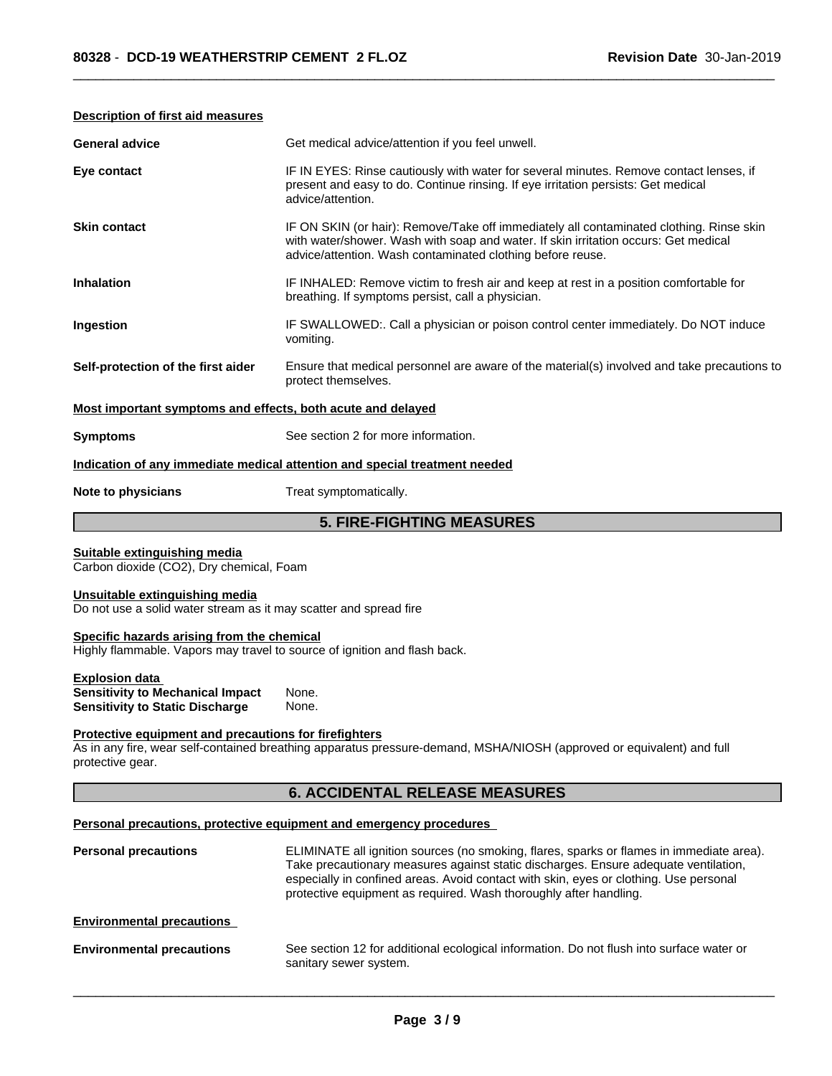| <b>General advice</b>                                                                                                                                    | Get medical advice/attention if you feel unwell.                                                                                                                                                                                             |  |  |  |
|----------------------------------------------------------------------------------------------------------------------------------------------------------|----------------------------------------------------------------------------------------------------------------------------------------------------------------------------------------------------------------------------------------------|--|--|--|
| Eye contact                                                                                                                                              | IF IN EYES: Rinse cautiously with water for several minutes. Remove contact lenses, if<br>present and easy to do. Continue rinsing. If eye irritation persists: Get medical<br>advice/attention.                                             |  |  |  |
| <b>Skin contact</b>                                                                                                                                      | IF ON SKIN (or hair): Remove/Take off immediately all contaminated clothing. Rinse skin<br>with water/shower. Wash with soap and water. If skin irritation occurs: Get medical<br>advice/attention. Wash contaminated clothing before reuse. |  |  |  |
| <b>Inhalation</b>                                                                                                                                        | IF INHALED: Remove victim to fresh air and keep at rest in a position comfortable for<br>breathing. If symptoms persist, call a physician.                                                                                                   |  |  |  |
| Ingestion                                                                                                                                                | IF SWALLOWED:. Call a physician or poison control center immediately. Do NOT induce<br>vomiting.                                                                                                                                             |  |  |  |
| Self-protection of the first aider<br>Ensure that medical personnel are aware of the material(s) involved and take precautions to<br>protect themselves. |                                                                                                                                                                                                                                              |  |  |  |
| Most important symptoms and effects, both acute and delayed                                                                                              |                                                                                                                                                                                                                                              |  |  |  |
| See section 2 for more information.<br><b>Symptoms</b>                                                                                                   |                                                                                                                                                                                                                                              |  |  |  |
|                                                                                                                                                          | Indication of any immediate medical attention and special treatment needed                                                                                                                                                                   |  |  |  |
| Note to physicians                                                                                                                                       | Treat symptomatically.                                                                                                                                                                                                                       |  |  |  |
|                                                                                                                                                          | <b>5. FIRE-FIGHTING MEASURES</b>                                                                                                                                                                                                             |  |  |  |
| Suitable extinguishing media<br>Carbon dioxide (CO2), Dry chemical, Foam                                                                                 |                                                                                                                                                                                                                                              |  |  |  |
| Unsuitable extinguishing media<br>Do not use a solid water stream as it may scatter and spread fire                                                      |                                                                                                                                                                                                                                              |  |  |  |
| Cusaifis herevels existing from the shamisel                                                                                                             |                                                                                                                                                                                                                                              |  |  |  |

#### **Description of first aid measures**

**Specific hazards arising from the chemical** Highly flammable. Vapors may travel to source of ignition and flash back.

#### **Explosion data Sensitivity to Mechanical Impact** None. **Sensitivity to Static Discharge** None.

#### **Protective equipment and precautions for firefighters**

As in any fire, wear self-contained breathing apparatus pressure-demand, MSHA/NIOSH (approved or equivalent) and full protective gear.

# **6. ACCIDENTAL RELEASE MEASURES**

#### **Personal precautions, protective equipment and emergency procedures**

| <b>Personal precautions</b>      | ELIMINATE all ignition sources (no smoking, flares, sparks or flames in immediate area).<br>Take precautionary measures against static discharges. Ensure adequate ventilation,<br>especially in confined areas. Avoid contact with skin, eyes or clothing. Use personal<br>protective equipment as required. Wash thoroughly after handling. |
|----------------------------------|-----------------------------------------------------------------------------------------------------------------------------------------------------------------------------------------------------------------------------------------------------------------------------------------------------------------------------------------------|
| <b>Environmental precautions</b> |                                                                                                                                                                                                                                                                                                                                               |
| <b>Environmental precautions</b> | See section 12 for additional ecological information. Do not flush into surface water or<br>sanitary sewer system.                                                                                                                                                                                                                            |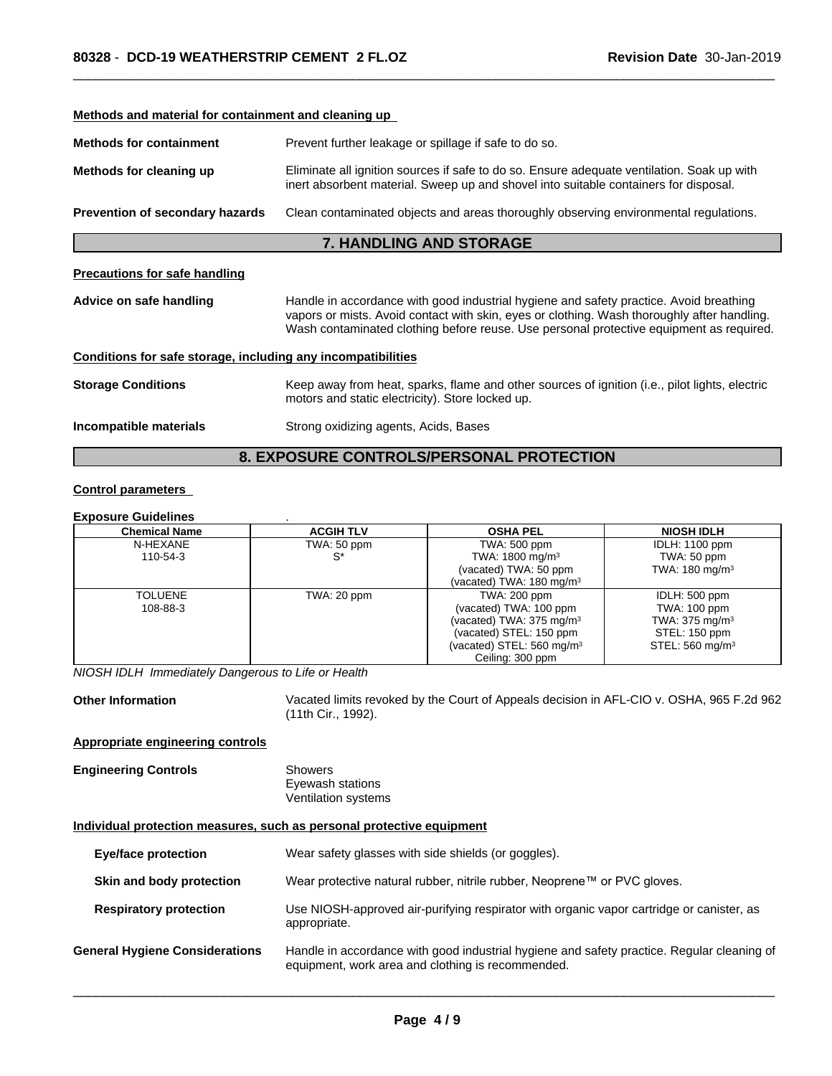| Methods and material for containment and cleaning up            |                                                                                                                                                                                                                                                                                  |  |  |  |
|-----------------------------------------------------------------|----------------------------------------------------------------------------------------------------------------------------------------------------------------------------------------------------------------------------------------------------------------------------------|--|--|--|
| <b>Methods for containment</b>                                  | Prevent further leakage or spillage if safe to do so.                                                                                                                                                                                                                            |  |  |  |
| Methods for cleaning up                                         | Eliminate all ignition sources if safe to do so. Ensure adequate ventilation. Soak up with<br>inert absorbent material. Sweep up and shovel into suitable containers for disposal.                                                                                               |  |  |  |
| Prevention of secondary hazards                                 | Clean contaminated objects and areas thoroughly observing environmental regulations.                                                                                                                                                                                             |  |  |  |
|                                                                 | <b>7. HANDLING AND STORAGE</b>                                                                                                                                                                                                                                                   |  |  |  |
| <b>Precautions for safe handling</b>                            |                                                                                                                                                                                                                                                                                  |  |  |  |
| Advice on safe handling                                         | Handle in accordance with good industrial hygiene and safety practice. Avoid breathing<br>vapors or mists. Avoid contact with skin, eyes or clothing. Wash thoroughly after handling.<br>Wash contaminated clothing before reuse. Use personal protective equipment as required. |  |  |  |
| Conditions for safe storage, including any incompatibilities    |                                                                                                                                                                                                                                                                                  |  |  |  |
| <b>Storage Conditions</b>                                       | Keep away from heat, sparks, flame and other sources of ignition (i.e., pilot lights, electric<br>motors and static electricity). Store locked up.                                                                                                                               |  |  |  |
| Incompatible materials<br>Strong oxidizing agents, Acids, Bases |                                                                                                                                                                                                                                                                                  |  |  |  |
|                                                                 | <b>8. EXPOSURE CONTROLS/PERSONAL PROTECTION</b>                                                                                                                                                                                                                                  |  |  |  |

## **Control parameters**

#### **Exposure Guidelines** .

| <b>Chemical Name</b> | <b>ACGIH TLV</b> | <b>OSHA PEL</b>                      | <b>NIOSH IDLH</b>           |
|----------------------|------------------|--------------------------------------|-----------------------------|
| N-HEXANE             | TWA: 50 ppm      | TWA: 500 ppm                         | <b>IDLH: 1100 ppm</b>       |
| 110-54-3             | `S               | TWA: $1800 \text{ mg/m}^3$           | TWA: 50 ppm                 |
|                      |                  | (vacated) TWA: 50 ppm                | TWA: $180 \text{ mg/m}^3$   |
|                      |                  | (vacated) TWA: 180 mg/m <sup>3</sup> |                             |
| TOLUENE              | TWA: 20 ppm      | TWA: 200 ppm                         | IDLH: 500 ppm               |
| 108-88-3             |                  | (vacated) TWA: 100 ppm               | TWA: 100 ppm                |
|                      |                  | (vacated) TWA: $375 \text{ mg/m}^3$  | TWA: $375 \text{ mg/m}^3$   |
|                      |                  | (vacated) STEL: 150 ppm              | STEL: 150 ppm               |
|                      |                  | (vacated) STEL: $560 \text{ mg/m}^3$ | STEL: 560 mg/m <sup>3</sup> |
|                      |                  | Ceiling: 300 ppm                     |                             |

*NIOSH IDLH Immediately Dangerous to Life or Health*

Other Information **Vacated limits revoked by the Court of Appeals decision in AFL-CIO v. OSHA, 965 F.2d 962** (11th Cir., 1992).

#### **Appropriate engineering controls**

#### **Engineering Controls** Showers Eyewash stations Ventilation systems

### **Individual protection measures, such as personal protective equipment**

| <b>Eye/face protection</b>            | Wear safety glasses with side shields (or goggles).                                                                                             |  |
|---------------------------------------|-------------------------------------------------------------------------------------------------------------------------------------------------|--|
| Skin and body protection              | Wear protective natural rubber, nitrile rubber, Neoprene™ or PVC gloves.                                                                        |  |
| <b>Respiratory protection</b>         | Use NIOSH-approved air-purifying respirator with organic vapor cartridge or canister, as<br>appropriate.                                        |  |
| <b>General Hygiene Considerations</b> | Handle in accordance with good industrial hygiene and safety practice. Regular cleaning of<br>equipment, work area and clothing is recommended. |  |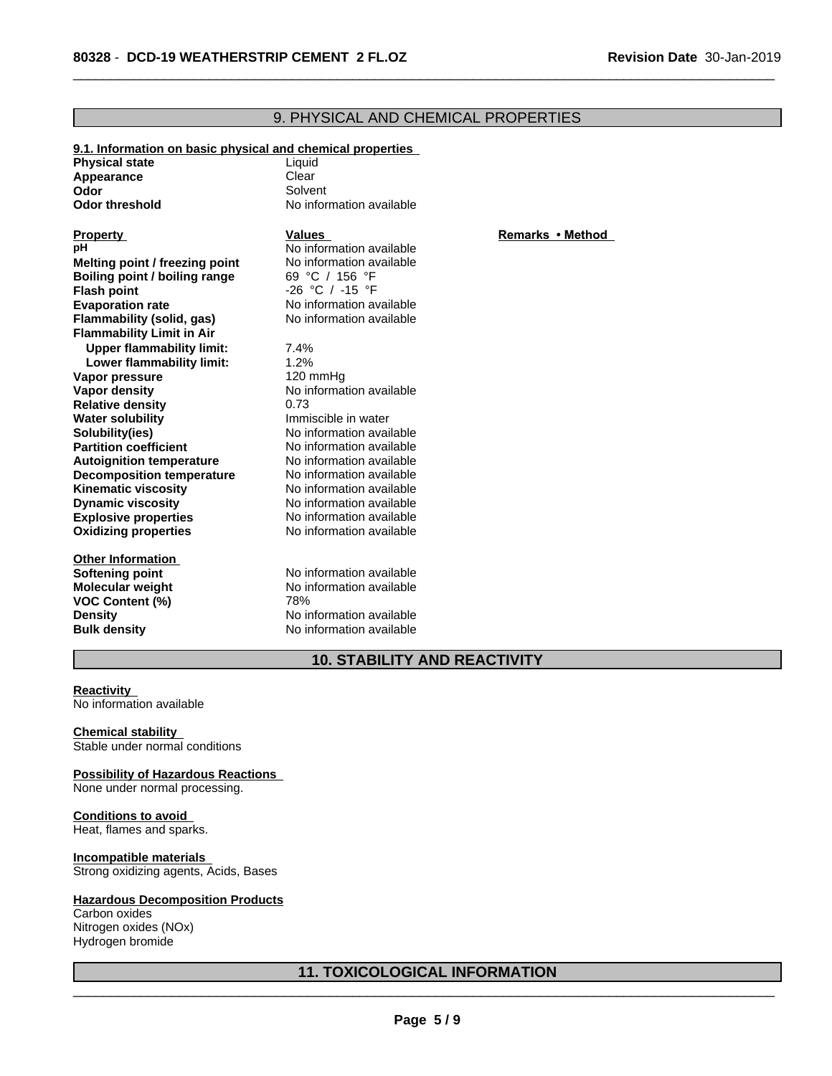#### **9.1. Information on basic physical and chemical properties Physical state** Liquid<br> **Appearance** Clear **Appearance Odor** Solvent **Odor threshold** No information available **Explosive properties** No information available<br> **Oxidizing properties** No information available **No information available Other Information Softening point**<br> **Molecular weight**<br> **Molecular weight**<br>
No information available **Molecular** weight **VOC Content (%)** 78% **Property Remarks •Method Values** *Remarks* •Method **pH** No information available<br> **Melting point / freezing point** No information available **Melting point / freezing point** No information available **Boiling point** / boiling range 69 °C / 156 °F **Boiling point / boiling range<br>Flash point Flash point** -26 °C / -15 °F **Evaporation rate** No information available **Flammability (solid, gas)** No information available **Flammability Limit in Air Upper flammability limit:** 7.4% **Lower flammability limit:** 1.2% **Vapor pressure** 120 mmHg **Vapor density**<br> **Relative density**<br>  $0.73$ **Relative density Water solubility Immiscible in water Solubility(ies)** No information available **Partition coefficient**<br> **Autoignition temperature**<br>
No information available<br>
No information available **Autoignition temperature No information available**<br> **Decomposition temperature No information available Decomposition temperature**<br>**Kinematic viscosity Kinematic viscosity**<br> **Community** No information available<br>
No information available **Dynamic viscosity** No information available

## **10. STABILITY AND REACTIVITY**

 $\overline{\phantom{a}}$  ,  $\overline{\phantom{a}}$  ,  $\overline{\phantom{a}}$  ,  $\overline{\phantom{a}}$  ,  $\overline{\phantom{a}}$  ,  $\overline{\phantom{a}}$  ,  $\overline{\phantom{a}}$  ,  $\overline{\phantom{a}}$  ,  $\overline{\phantom{a}}$  ,  $\overline{\phantom{a}}$  ,  $\overline{\phantom{a}}$  ,  $\overline{\phantom{a}}$  ,  $\overline{\phantom{a}}$  ,  $\overline{\phantom{a}}$  ,  $\overline{\phantom{a}}$  ,  $\overline{\phantom{a}}$ 

9. PHYSICAL AND CHEMICAL PROPERTIES

#### **Reactivity** No information available

**Chemical stability** Stable under normal conditions

# **Possibility of Hazardous Reactions**

**Density** No information available **Bulk density** No information available

None under normal processing.

#### **Conditions to avoid**

Heat, flames and sparks.

#### **Incompatible materials**

Strong oxidizing agents, Acids, Bases

#### **Hazardous Decomposition Products**

Carbon oxides Nitrogen oxides (NOx) Hydrogen bromide

## **11. TOXICOLOGICAL INFORMATION**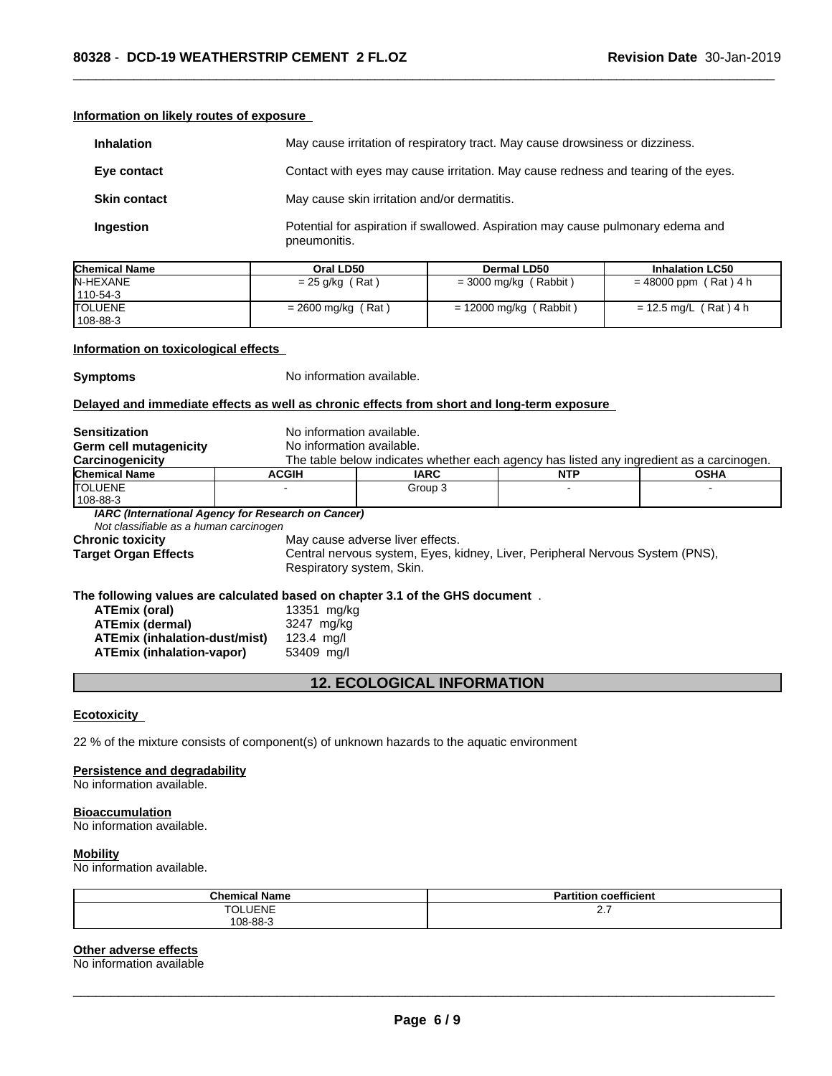| Information on likely routes of exposure |  |
|------------------------------------------|--|
|                                          |  |

| <b>Inhalation</b>   | May cause irritation of respiratory tract. May cause drowsiness or dizziness.                   |
|---------------------|-------------------------------------------------------------------------------------------------|
| Eye contact         | Contact with eyes may cause irritation. May cause redness and tearing of the eyes.              |
| <b>Skin contact</b> | May cause skin irritation and/or dermatitis.                                                    |
| Ingestion           | Potential for aspiration if swallowed. Aspiration may cause pulmonary edema and<br>pneumonitis. |

| <b>Chemical Name</b> | Oral LD50            | Dermal LD50              | <b>Inhalation LC50</b>  |
|----------------------|----------------------|--------------------------|-------------------------|
| <b>IN-HEXANE</b>     | $= 25$ g/kg (Rat)    | $=$ 3000 mg/kg (Rabbit)  | $= 48000$ ppm (Rat) 4 h |
| 110-54-3             |                      |                          |                         |
| <b>TOLUENE</b>       | $= 2600$ mg/kg (Rat) | $= 12000$ mg/kg (Rabbit) | = 12.5 mg/L (Rat)4 h    |
| 108-88-3             |                      |                          |                         |

#### **Information on toxicological effects**

**Symptoms** No information available.

#### **Delayed and immediate effects as well as chronic effects from short and long-term exposure**

| <b>Sensitization</b>                                                                                         | No information available. |                                                                                          |            |             |  |  |
|--------------------------------------------------------------------------------------------------------------|---------------------------|------------------------------------------------------------------------------------------|------------|-------------|--|--|
| <b>Germ cell mutagenicity</b>                                                                                |                           | No information available.                                                                |            |             |  |  |
| Carcinogenicity                                                                                              |                           | The table below indicates whether each agency has listed any ingredient as a carcinogen. |            |             |  |  |
| <b>Chemical Name</b>                                                                                         | <b>ACGIH</b>              | <b>IARC</b>                                                                              | <b>NTP</b> | <b>OSHA</b> |  |  |
| <b>ITOLUENE</b>                                                                                              |                           | Group 3                                                                                  |            |             |  |  |
| 108-88-3                                                                                                     |                           |                                                                                          |            |             |  |  |
| IARC (International Agency for Research on Cancer)                                                           |                           |                                                                                          |            |             |  |  |
| Not classifiable as a human carcinogen                                                                       |                           |                                                                                          |            |             |  |  |
| <b>Chronic toxicity</b>                                                                                      |                           | May cause adverse liver effects.                                                         |            |             |  |  |
| Central nervous system, Eyes, kidney, Liver, Peripheral Nervous System (PNS),<br><b>Target Organ Effects</b> |                           |                                                                                          |            |             |  |  |
|                                                                                                              |                           | Respiratory system, Skin.                                                                |            |             |  |  |
| The following values are calculated based on chapter 3.1 of the GHS document.                                |                           |                                                                                          |            |             |  |  |
| ATEmix (oral)                                                                                                | 13351 mg/kg               |                                                                                          |            |             |  |  |
| ATEmix (dermal)                                                                                              | 3247 mg/kg                |                                                                                          |            |             |  |  |
| <b>ATEmix (inhalation-dust/mist)</b>                                                                         | $123.4$ mg/l              |                                                                                          |            |             |  |  |

# **12. ECOLOGICAL INFORMATION**

#### **Ecotoxicity**

22 % of the mixture consists of component(s) of unknown hazards to the aquatic environment

**ATEmix (inhalation-vapor)** 53409 mg/l

#### **Persistence and degradability**

No information available.

#### **Bioaccumulation**

No information available.

#### **Mobility**

No information available.

| Chemical<br>Name      | $- - -$<br>$\cdots$<br>Partition<br>coefficient |
|-----------------------|-------------------------------------------------|
| $T^{\wedge}$<br>LUENE | <u></u>                                         |
| 108-88-3              |                                                 |

#### **Other adverse effects**

No information available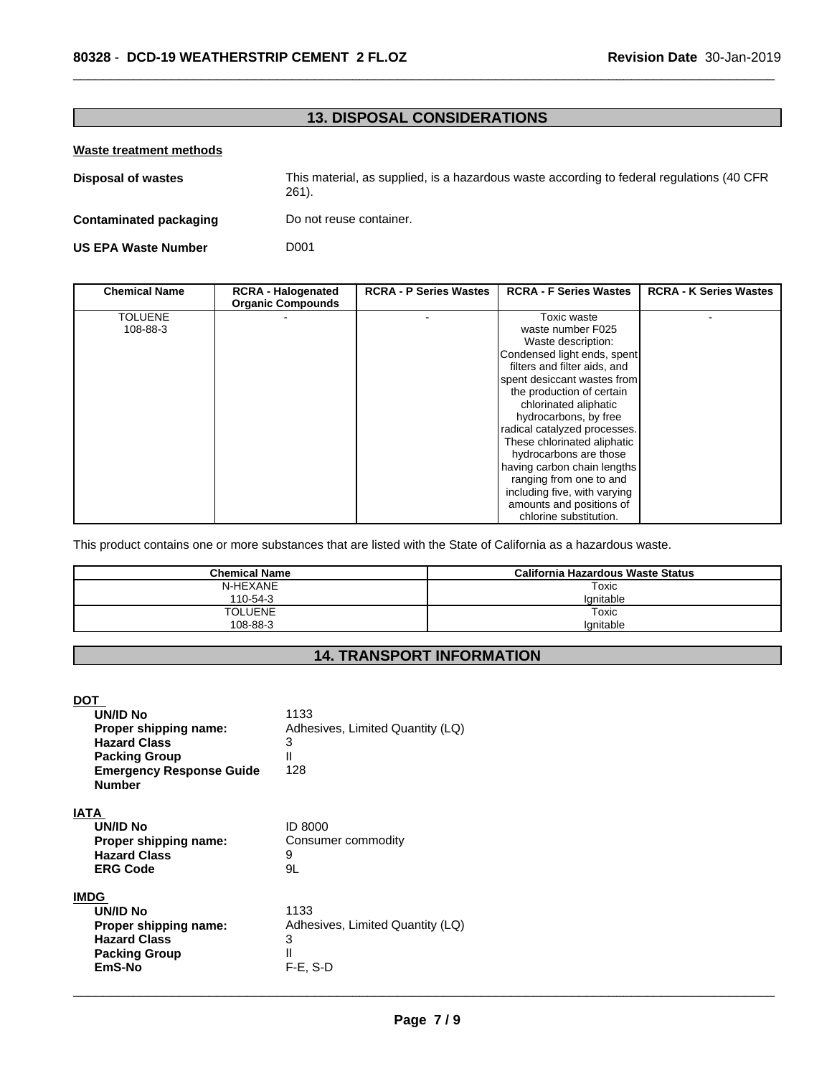# **13. DISPOSAL CONSIDERATIONS**

 $\overline{\phantom{a}}$  ,  $\overline{\phantom{a}}$  ,  $\overline{\phantom{a}}$  ,  $\overline{\phantom{a}}$  ,  $\overline{\phantom{a}}$  ,  $\overline{\phantom{a}}$  ,  $\overline{\phantom{a}}$  ,  $\overline{\phantom{a}}$  ,  $\overline{\phantom{a}}$  ,  $\overline{\phantom{a}}$  ,  $\overline{\phantom{a}}$  ,  $\overline{\phantom{a}}$  ,  $\overline{\phantom{a}}$  ,  $\overline{\phantom{a}}$  ,  $\overline{\phantom{a}}$  ,  $\overline{\phantom{a}}$ 

#### **Waste treatment methods**

| <b>Disposal of wastes</b>  | This material, as supplied, is a hazardous waste according to federal regulations (40 CFR)<br>$261$ . |
|----------------------------|-------------------------------------------------------------------------------------------------------|
| Contaminated packaging     | Do not reuse container.                                                                               |
| <b>US EPA Waste Number</b> | D001                                                                                                  |

| <b>Chemical Name</b> | <b>RCRA - Halogenated</b> | <b>RCRA - P Series Wastes</b> | <b>RCRA - F Series Wastes</b> | <b>RCRA - K Series Wastes</b> |
|----------------------|---------------------------|-------------------------------|-------------------------------|-------------------------------|
|                      | <b>Organic Compounds</b>  |                               |                               |                               |
| <b>TOLUENE</b>       |                           |                               | Toxic waste                   |                               |
| 108-88-3             |                           |                               | waste number F025             |                               |
|                      |                           |                               | Waste description:            |                               |
|                      |                           |                               | Condensed light ends, spent   |                               |
|                      |                           |                               | filters and filter aids, and  |                               |
|                      |                           |                               | spent desiccant wastes from   |                               |
|                      |                           |                               | the production of certain     |                               |
|                      |                           |                               | chlorinated aliphatic         |                               |
|                      |                           |                               | hydrocarbons, by free         |                               |
|                      |                           |                               | radical catalyzed processes.  |                               |
|                      |                           |                               | These chlorinated aliphatic   |                               |
|                      |                           |                               | hydrocarbons are those        |                               |
|                      |                           |                               | having carbon chain lengths   |                               |
|                      |                           |                               | ranging from one to and       |                               |
|                      |                           |                               | including five, with varying  |                               |
|                      |                           |                               | amounts and positions of      |                               |
|                      |                           |                               | chlorine substitution.        |                               |

This product contains one or more substances that are listed with the State of California as a hazardous waste.

| <b>Chemical Name</b> | California Hazardous Waste Status |
|----------------------|-----------------------------------|
| N-HEXANE             | Toxic                             |
| 110-54-3             | lanitable                         |
| <b>TOLUENE</b>       | Toxic                             |
| 108-88-3             | Ignitable                         |

# **14. TRANSPORT INFORMATION**

| <b>DOT</b>                      |                                  |
|---------------------------------|----------------------------------|
| UN/ID No                        | 1133                             |
| Proper shipping name:           | Adhesives, Limited Quantity (LQ) |
| <b>Hazard Class</b>             | 3                                |
| <b>Packing Group</b>            | Ш                                |
| <b>Emergency Response Guide</b> | 128                              |
| <b>Number</b>                   |                                  |
|                                 |                                  |
| <b>IATA</b>                     |                                  |
| UN/ID No                        | <b>ID 8000</b>                   |
| Proper shipping name:           | Consumer commodity               |
| <b>Hazard Class</b>             | 9                                |
| <b>ERG Code</b>                 | 9L                               |
|                                 |                                  |
| <b>IMDG</b>                     |                                  |
| <b>UN/ID No</b>                 | 1133                             |
| Proper shipping name:           | Adhesives, Limited Quantity (LQ) |
| <b>Hazard Class</b>             | 3                                |
| <b>Packing Group</b>            | Ш                                |
| EmS-No                          | $F-E$ , S-D                      |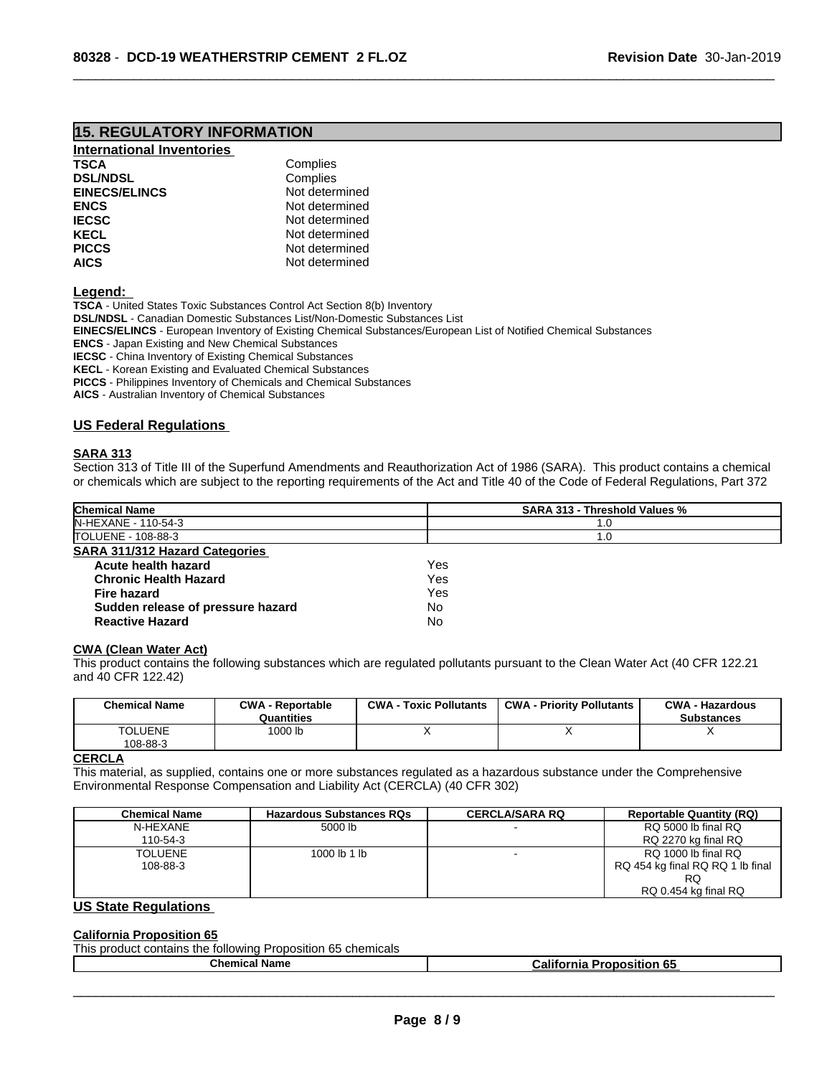# **15. REGULATORY INFORMATION**

| International Inventories |                |
|---------------------------|----------------|
| <b>TSCA</b>               | Complies       |
| <b>DSL/NDSL</b>           | Complies       |
| <b>EINECS/ELINCS</b>      | Not determined |
| <b>ENCS</b>               | Not determined |
| <b>IECSC</b>              | Not determined |
| <b>KECL</b>               | Not determined |
| <b>PICCS</b>              | Not determined |
| <b>AICS</b>               | Not determined |

**Legend:** 

**TSCA** - United States Toxic Substances Control Act Section 8(b) Inventory **DSL/NDSL** - Canadian Domestic Substances List/Non-Domestic Substances List **EINECS/ELINCS** - European Inventory of Existing Chemical Substances/European List of Notified Chemical Substances **ENCS** - Japan Existing and New Chemical Substances **IECSC** - China Inventory of Existing Chemical Substances **KECL** - Korean Existing and Evaluated Chemical Substances **PICCS** - Philippines Inventory of Chemicals and Chemical Substances **AICS** - Australian Inventory of Chemical Substances

#### **US Federal Regulations**

#### **SARA 313**

Section 313 of Title III of the Superfund Amendments and Reauthorization Act of 1986 (SARA). This product contains a chemical or chemicals which are subject to the reporting requirements of the Act and Title 40 of the Code of Federal Regulations, Part 372

 $\overline{\phantom{a}}$  ,  $\overline{\phantom{a}}$  ,  $\overline{\phantom{a}}$  ,  $\overline{\phantom{a}}$  ,  $\overline{\phantom{a}}$  ,  $\overline{\phantom{a}}$  ,  $\overline{\phantom{a}}$  ,  $\overline{\phantom{a}}$  ,  $\overline{\phantom{a}}$  ,  $\overline{\phantom{a}}$  ,  $\overline{\phantom{a}}$  ,  $\overline{\phantom{a}}$  ,  $\overline{\phantom{a}}$  ,  $\overline{\phantom{a}}$  ,  $\overline{\phantom{a}}$  ,  $\overline{\phantom{a}}$ 

| <b>Chemical Name</b>                  | <b>SARA 313 - Threshold Values %</b> |  |
|---------------------------------------|--------------------------------------|--|
| N-HEXANE - 110-54-3                   | 1.0                                  |  |
| TOLUENE - 108-88-3                    | 1.0                                  |  |
| <b>SARA 311/312 Hazard Categories</b> |                                      |  |
| Acute health hazard                   | Yes                                  |  |
| <b>Chronic Health Hazard</b>          | Yes                                  |  |
| <b>Fire hazard</b>                    | Yes                                  |  |
| Sudden release of pressure hazard     | No                                   |  |
| <b>Reactive Hazard</b>                | No                                   |  |

#### **CWA** (Clean Water Act)

This product contains the following substances which are regulated pollutants pursuant to the Clean Water Act (40 CFR 122.21 and 40 CFR 122.42)

| <b>TOLUENE</b><br>1000 lb<br>108-88-3 | <b>Chemical Name</b> | <b>CWA - Reportable</b><br>Quantities | <b>CWA - Toxic Pollutants</b> | <b>CWA - Priority Pollutants</b> | <b>CWA - Hazardous</b><br><b>Substances</b> |
|---------------------------------------|----------------------|---------------------------------------|-------------------------------|----------------------------------|---------------------------------------------|
|                                       |                      |                                       |                               |                                  |                                             |

#### **CERCLA**

This material, as supplied, contains one or more substances regulated as a hazardous substance under the Comprehensive Environmental Response Compensation and Liability Act (CERCLA) (40 CFR 302)

| <b>Chemical Name</b> | <b>Hazardous Substances RQs</b> | <b>CERCLA/SARA RQ</b> | <b>Reportable Quantity (RQ)</b>  |
|----------------------|---------------------------------|-----------------------|----------------------------------|
| N-HEXANE             | 5000 lb                         |                       | RQ 5000 lb final RQ              |
| 110-54-3             |                                 |                       | RQ 2270 kg final RQ              |
| <b>TOLUENE</b>       | 1000 lb 1 lb                    |                       | RQ 1000 lb final RQ              |
| 108-88-3             |                                 |                       | RQ 454 kg final RQ RQ 1 lb final |
|                      |                                 |                       | RQ                               |
|                      |                                 |                       | RQ 0.454 kg final RQ             |

#### **US State Regulations**

#### **California Proposition 65**

| This product contains the following Proposition 65 chemicals |                                  |
|--------------------------------------------------------------|----------------------------------|
| Chemical Name                                                | <b>California Proposition 65</b> |